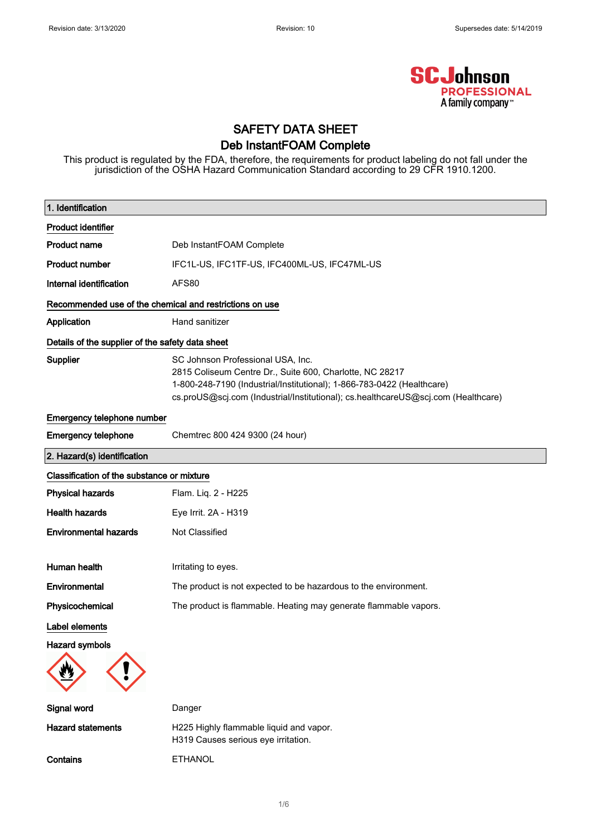

### SAFETY DATA SHEET Deb InstantFOAM Complete

This product is regulated by the FDA, therefore, the requirements for product labeling do not fall under the jurisdiction of the OSHA Hazard Communication Standard according to 29 CFR 1910.1200.

| 1. Identification                                |                                                                                                                                                                                                                                                              |  |  |
|--------------------------------------------------|--------------------------------------------------------------------------------------------------------------------------------------------------------------------------------------------------------------------------------------------------------------|--|--|
| Product identifier                               |                                                                                                                                                                                                                                                              |  |  |
| <b>Product name</b>                              | Deb InstantFOAM Complete                                                                                                                                                                                                                                     |  |  |
| <b>Product number</b>                            | IFC1L-US, IFC1TF-US, IFC400ML-US, IFC47ML-US                                                                                                                                                                                                                 |  |  |
| Internal identification                          | AFS80                                                                                                                                                                                                                                                        |  |  |
|                                                  | Recommended use of the chemical and restrictions on use                                                                                                                                                                                                      |  |  |
| Application                                      | Hand sanitizer                                                                                                                                                                                                                                               |  |  |
| Details of the supplier of the safety data sheet |                                                                                                                                                                                                                                                              |  |  |
| Supplier                                         | SC Johnson Professional USA, Inc.<br>2815 Coliseum Centre Dr., Suite 600, Charlotte, NC 28217<br>1-800-248-7190 (Industrial/Institutional); 1-866-783-0422 (Healthcare)<br>cs.proUS@scj.com (Industrial/Institutional); cs.healthcareUS@scj.com (Healthcare) |  |  |
| Emergency telephone number                       |                                                                                                                                                                                                                                                              |  |  |
| <b>Emergency telephone</b>                       | Chemtrec 800 424 9300 (24 hour)                                                                                                                                                                                                                              |  |  |
| 2. Hazard(s) identification                      |                                                                                                                                                                                                                                                              |  |  |
| Classification of the substance or mixture       |                                                                                                                                                                                                                                                              |  |  |
| <b>Physical hazards</b>                          | Flam. Liq. 2 - H225                                                                                                                                                                                                                                          |  |  |
| <b>Health hazards</b>                            | Eye Irrit. 2A - H319                                                                                                                                                                                                                                         |  |  |
| <b>Environmental hazards</b>                     | Not Classified                                                                                                                                                                                                                                               |  |  |
| Human health                                     | Irritating to eyes.                                                                                                                                                                                                                                          |  |  |
| Environmental                                    | The product is not expected to be hazardous to the environment.                                                                                                                                                                                              |  |  |
| Physicochemical                                  | The product is flammable. Heating may generate flammable vapors.                                                                                                                                                                                             |  |  |
| Label elements                                   |                                                                                                                                                                                                                                                              |  |  |
| <b>Hazard symbols</b>                            |                                                                                                                                                                                                                                                              |  |  |
| Signal word                                      | Danger                                                                                                                                                                                                                                                       |  |  |
| <b>Hazard statements</b>                         | H225 Highly flammable liquid and vapor.<br>H319 Causes serious eye irritation.                                                                                                                                                                               |  |  |
| Contains                                         | <b>ETHANOL</b>                                                                                                                                                                                                                                               |  |  |

1/ 6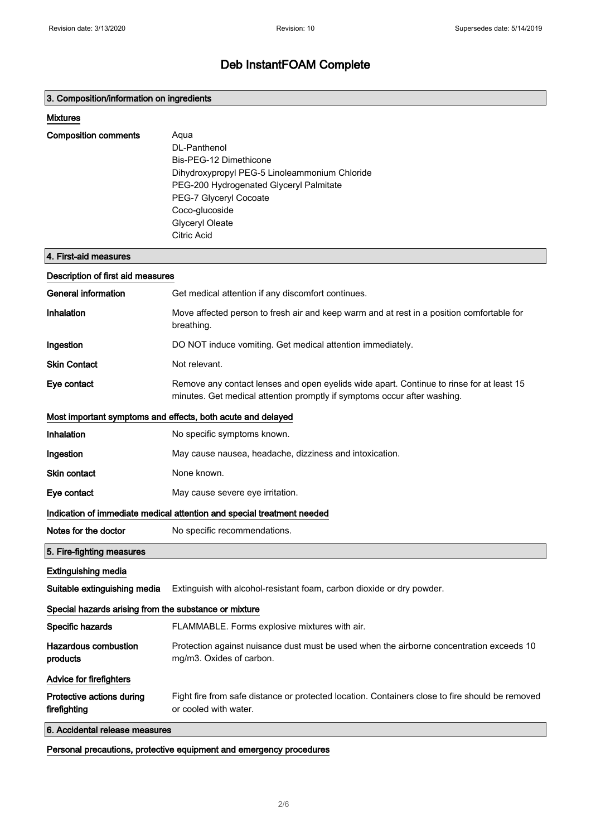#### 3. Composition/information on ingredients

#### Mixtures

| <b>Composition comments</b> | Agua<br>DI-Panthenol<br>Bis-PEG-12 Dimethicone<br>Dihydroxypropyl PEG-5 Linoleammonium Chloride<br>PEG-200 Hydrogenated Glyceryl Palmitate |
|-----------------------------|--------------------------------------------------------------------------------------------------------------------------------------------|
|                             | PEG-7 Glyceryl Cocoate<br>Coco-glucoside<br><b>Glyceryl Oleate</b><br>Citric Acid                                                          |

#### 4. First-aid measures

| Description of first aid measures                                      |                                                                                                                                                                      |  |
|------------------------------------------------------------------------|----------------------------------------------------------------------------------------------------------------------------------------------------------------------|--|
| General information                                                    | Get medical attention if any discomfort continues.                                                                                                                   |  |
| Inhalation                                                             | Move affected person to fresh air and keep warm and at rest in a position comfortable for<br>breathing.                                                              |  |
| Ingestion                                                              | DO NOT induce vomiting. Get medical attention immediately.                                                                                                           |  |
| <b>Skin Contact</b>                                                    | Not relevant.                                                                                                                                                        |  |
| Eye contact                                                            | Remove any contact lenses and open eyelids wide apart. Continue to rinse for at least 15<br>minutes. Get medical attention promptly if symptoms occur after washing. |  |
|                                                                        | Most important symptoms and effects, both acute and delayed                                                                                                          |  |
| Inhalation                                                             | No specific symptoms known.                                                                                                                                          |  |
| Ingestion                                                              | May cause nausea, headache, dizziness and intoxication.                                                                                                              |  |
| Skin contact                                                           | None known.                                                                                                                                                          |  |
| Eye contact                                                            | May cause severe eye irritation.                                                                                                                                     |  |
| Indication of immediate medical attention and special treatment needed |                                                                                                                                                                      |  |
| Notes for the doctor                                                   | No specific recommendations.                                                                                                                                         |  |
| 5. Fire-fighting measures                                              |                                                                                                                                                                      |  |
| <b>Extinguishing media</b>                                             |                                                                                                                                                                      |  |
| Suitable extinguishing media                                           | Extinguish with alcohol-resistant foam, carbon dioxide or dry powder.                                                                                                |  |
| Special hazards arising from the substance or mixture                  |                                                                                                                                                                      |  |
| Specific hazards                                                       | FLAMMABLE. Forms explosive mixtures with air.                                                                                                                        |  |
| <b>Hazardous combustion</b><br>products                                | Protection against nuisance dust must be used when the airborne concentration exceeds 10<br>mg/m3. Oxides of carbon.                                                 |  |
| <b>Advice for firefighters</b>                                         |                                                                                                                                                                      |  |
|                                                                        |                                                                                                                                                                      |  |
| Protective actions during<br>firefighting                              | Fight fire from safe distance or protected location. Containers close to fire should be removed<br>or cooled with water.                                             |  |

Personal precautions, protective equipment and emergency procedures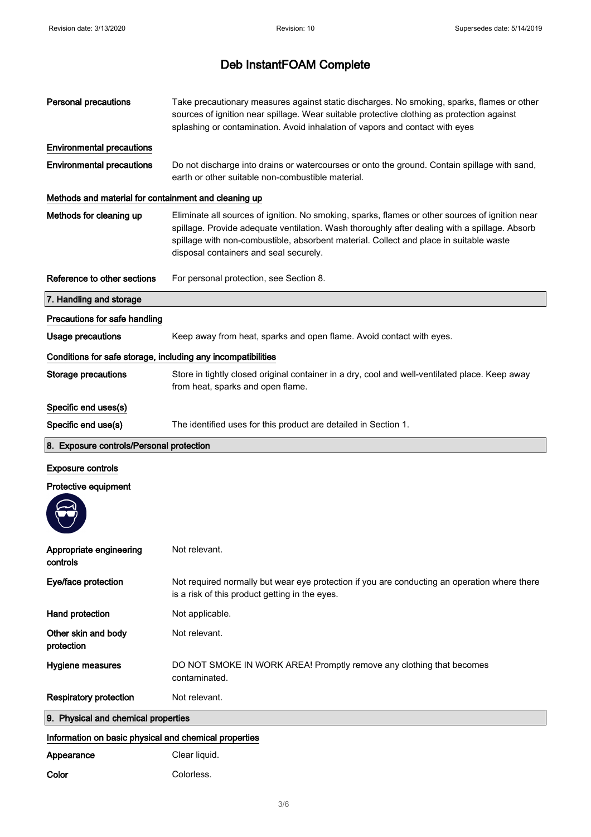| <b>Personal precautions</b>                                  | Take precautionary measures against static discharges. No smoking, sparks, flames or other<br>sources of ignition near spillage. Wear suitable protective clothing as protection against<br>splashing or contamination. Avoid inhalation of vapors and contact with eyes                                                             |
|--------------------------------------------------------------|--------------------------------------------------------------------------------------------------------------------------------------------------------------------------------------------------------------------------------------------------------------------------------------------------------------------------------------|
| <b>Environmental precautions</b>                             |                                                                                                                                                                                                                                                                                                                                      |
| <b>Environmental precautions</b>                             | Do not discharge into drains or watercourses or onto the ground. Contain spillage with sand,<br>earth or other suitable non-combustible material.                                                                                                                                                                                    |
| Methods and material for containment and cleaning up         |                                                                                                                                                                                                                                                                                                                                      |
| Methods for cleaning up                                      | Eliminate all sources of ignition. No smoking, sparks, flames or other sources of ignition near<br>spillage. Provide adequate ventilation. Wash thoroughly after dealing with a spillage. Absorb<br>spillage with non-combustible, absorbent material. Collect and place in suitable waste<br>disposal containers and seal securely. |
| Reference to other sections                                  | For personal protection, see Section 8.                                                                                                                                                                                                                                                                                              |
| 7. Handling and storage                                      |                                                                                                                                                                                                                                                                                                                                      |
| Precautions for safe handling                                |                                                                                                                                                                                                                                                                                                                                      |
| <b>Usage precautions</b>                                     | Keep away from heat, sparks and open flame. Avoid contact with eyes.                                                                                                                                                                                                                                                                 |
| Conditions for safe storage, including any incompatibilities |                                                                                                                                                                                                                                                                                                                                      |
| <b>Storage precautions</b>                                   | Store in tightly closed original container in a dry, cool and well-ventilated place. Keep away<br>from heat, sparks and open flame.                                                                                                                                                                                                  |
| Specific end uses(s)                                         |                                                                                                                                                                                                                                                                                                                                      |
| Specific end use(s)                                          | The identified uses for this product are detailed in Section 1.                                                                                                                                                                                                                                                                      |
|                                                              |                                                                                                                                                                                                                                                                                                                                      |
| 8. Exposure controls/Personal protection                     |                                                                                                                                                                                                                                                                                                                                      |
| <b>Exposure controls</b>                                     |                                                                                                                                                                                                                                                                                                                                      |
| Protective equipment                                         |                                                                                                                                                                                                                                                                                                                                      |
|                                                              |                                                                                                                                                                                                                                                                                                                                      |
| Appropriate engineering<br>controls                          | Not relevant.                                                                                                                                                                                                                                                                                                                        |
| Eye/face protection                                          | Not required normally but wear eye protection if you are conducting an operation where there<br>is a risk of this product getting in the eyes.                                                                                                                                                                                       |
| Hand protection                                              | Not applicable.                                                                                                                                                                                                                                                                                                                      |
| Other skin and body<br>protection                            | Not relevant.                                                                                                                                                                                                                                                                                                                        |
| Hygiene measures                                             | DO NOT SMOKE IN WORK AREA! Promptly remove any clothing that becomes<br>contaminated.                                                                                                                                                                                                                                                |
| <b>Respiratory protection</b>                                | Not relevant.                                                                                                                                                                                                                                                                                                                        |
| 9. Physical and chemical properties                          |                                                                                                                                                                                                                                                                                                                                      |
| Information on basic physical and chemical properties        |                                                                                                                                                                                                                                                                                                                                      |
| Appearance                                                   | Clear liquid.                                                                                                                                                                                                                                                                                                                        |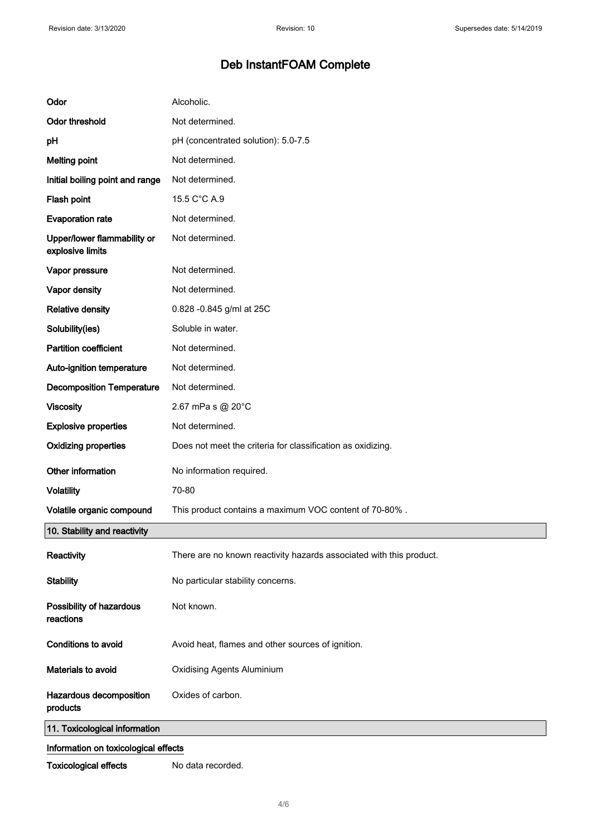| Odor                                            | Alcoholic.                                                          |  |
|-------------------------------------------------|---------------------------------------------------------------------|--|
| <b>Odor threshold</b>                           | Not determined.                                                     |  |
| pH                                              | pH (concentrated solution): 5.0-7.5                                 |  |
| <b>Melting point</b>                            | Not determined.                                                     |  |
| Initial boiling point and range                 | Not determined.                                                     |  |
| Flash point                                     | 15.5 C°C A.9                                                        |  |
| <b>Evaporation rate</b>                         | Not determined.                                                     |  |
| Upper/lower flammability or<br>explosive limits | Not determined.                                                     |  |
| Vapor pressure                                  | Not determined.                                                     |  |
| Vapor density                                   | Not determined.                                                     |  |
| <b>Relative density</b>                         | 0.828 -0.845 g/ml at 25C                                            |  |
| Solubility(ies)                                 | Soluble in water.                                                   |  |
| <b>Partition coefficient</b>                    | Not determined.                                                     |  |
| Auto-ignition temperature                       | Not determined.                                                     |  |
| <b>Decomposition Temperature</b>                | Not determined.                                                     |  |
| <b>Viscosity</b>                                | 2.67 mPa s @ 20°C                                                   |  |
| <b>Explosive properties</b>                     | Not determined.                                                     |  |
| <b>Oxidizing properties</b>                     | Does not meet the criteria for classification as oxidizing.         |  |
| Other information                               | No information required.                                            |  |
| <b>Volatility</b>                               | 70-80                                                               |  |
| Volatile organic compound                       | This product contains a maximum VOC content of 70-80%.              |  |
| 10. Stability and reactivity                    |                                                                     |  |
| Reactivity                                      | There are no known reactivity hazards associated with this product. |  |
| <b>Stability</b>                                | No particular stability concerns.                                   |  |
| Possibility of hazardous<br>reactions           | Not known.                                                          |  |
| Conditions to avoid                             | Avoid heat, flames and other sources of ignition.                   |  |
| Materials to avoid                              | <b>Oxidising Agents Aluminium</b>                                   |  |
| Hazardous decomposition<br>products             | Oxides of carbon.                                                   |  |
| 11. Toxicological information                   |                                                                     |  |
| Information on toxicological effects            |                                                                     |  |

Toxicological effects No data recorded.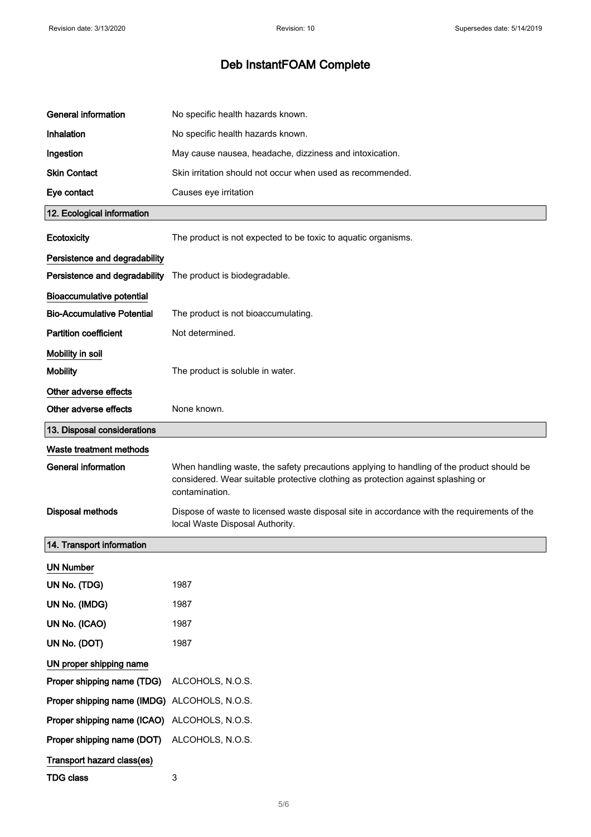| <b>General information</b>                   | No specific health hazards known.                                                                                                                                                               |
|----------------------------------------------|-------------------------------------------------------------------------------------------------------------------------------------------------------------------------------------------------|
| Inhalation                                   | No specific health hazards known.                                                                                                                                                               |
| Ingestion                                    | May cause nausea, headache, dizziness and intoxication.                                                                                                                                         |
| <b>Skin Contact</b>                          | Skin irritation should not occur when used as recommended.                                                                                                                                      |
| Eye contact                                  | Causes eye irritation                                                                                                                                                                           |
| 12. Ecological information                   |                                                                                                                                                                                                 |
| Ecotoxicity                                  | The product is not expected to be toxic to aquatic organisms.                                                                                                                                   |
| Persistence and degradability                |                                                                                                                                                                                                 |
| Persistence and degradability                | The product is biodegradable.                                                                                                                                                                   |
| <b>Bioaccumulative potential</b>             |                                                                                                                                                                                                 |
| <b>Bio-Accumulative Potential</b>            | The product is not bioaccumulating.                                                                                                                                                             |
| <b>Partition coefficient</b>                 | Not determined.                                                                                                                                                                                 |
| Mobility in soil                             |                                                                                                                                                                                                 |
| <b>Mobility</b>                              | The product is soluble in water.                                                                                                                                                                |
| Other adverse effects                        |                                                                                                                                                                                                 |
| Other adverse effects                        | None known.                                                                                                                                                                                     |
| 13. Disposal considerations                  |                                                                                                                                                                                                 |
| <b>Waste treatment methods</b>               |                                                                                                                                                                                                 |
| <b>General information</b>                   | When handling waste, the safety precautions applying to handling of the product should be<br>considered. Wear suitable protective clothing as protection against splashing or<br>contamination. |
| <b>Disposal methods</b>                      | Dispose of waste to licensed waste disposal site in accordance with the requirements of the<br>local Waste Disposal Authority.                                                                  |
| 14. Transport information                    |                                                                                                                                                                                                 |
| <b>UN Number</b>                             |                                                                                                                                                                                                 |
| UN No. (TDG)                                 | 1987                                                                                                                                                                                            |
| UN No. (IMDG)                                | 1987                                                                                                                                                                                            |
| UN No. (ICAO)                                | 1987                                                                                                                                                                                            |
| UN No. (DOT)                                 | 1987                                                                                                                                                                                            |
| UN proper shipping name                      |                                                                                                                                                                                                 |
| Proper shipping name (TDG)                   | ALCOHOLS, N.O.S.                                                                                                                                                                                |
|                                              |                                                                                                                                                                                                 |
|                                              | Proper shipping name (IMDG) ALCOHOLS, N.O.S.                                                                                                                                                    |
| Proper shipping name (ICAO) ALCOHOLS, N.O.S. |                                                                                                                                                                                                 |
| Proper shipping name (DOT)                   | ALCOHOLS, N.O.S.                                                                                                                                                                                |
| Transport hazard class(es)                   |                                                                                                                                                                                                 |